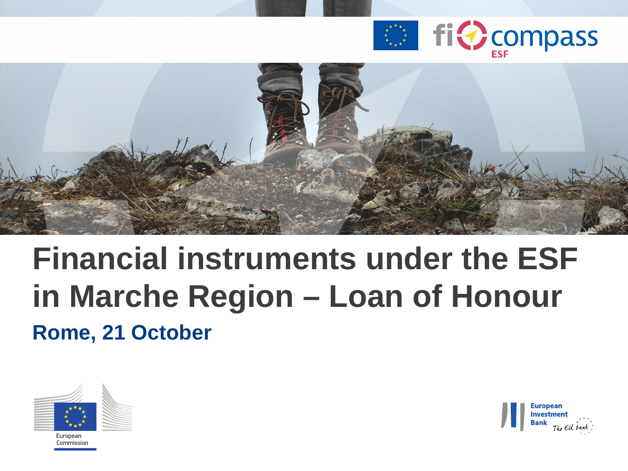



### **Financial instruments under the ESF in Marche Region – Loan of Honour Rome, 21 October**





Commission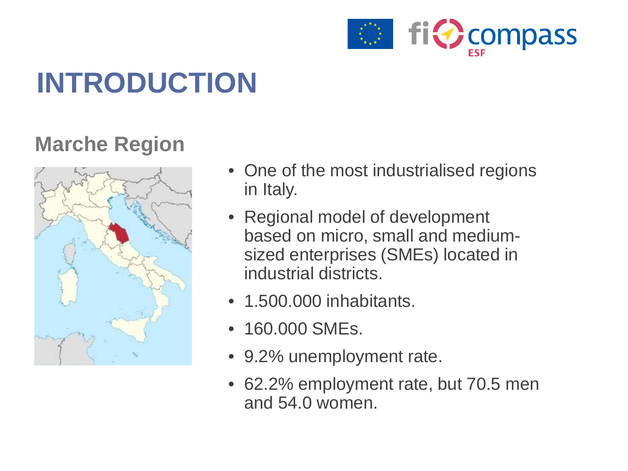

## **INTRODUCTION**

### **Marche Region**



- One of the most industrialised regions in Italy.
- Regional model of development based on micro, small and mediumsized enterprises (SMEs) located in industrial districts.
- 1.500.000 inhabitants.
- 160.000 SMEs.
- 9.2% unemployment rate.
- 62.2% employment rate, but 70.5 men and 54.0 women.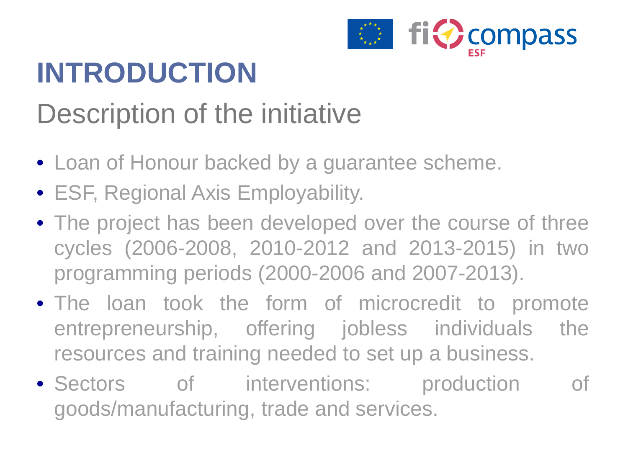

## **INTRODUCTION**

### Description of the initiative

- Loan of Honour backed by a guarantee scheme.
- ESF, Regional Axis Employability.
- The project has been developed over the course of three cycles (2006-2008, 2010-2012 and 2013-2015) in two programming periods (2000-2006 and 2007-2013).
- The loan took the form of microcredit to promote entrepreneurship, offering jobless individuals the resources and training needed to set up a business.
- Sectors of interventions: production of goods/manufacturing, trade and services.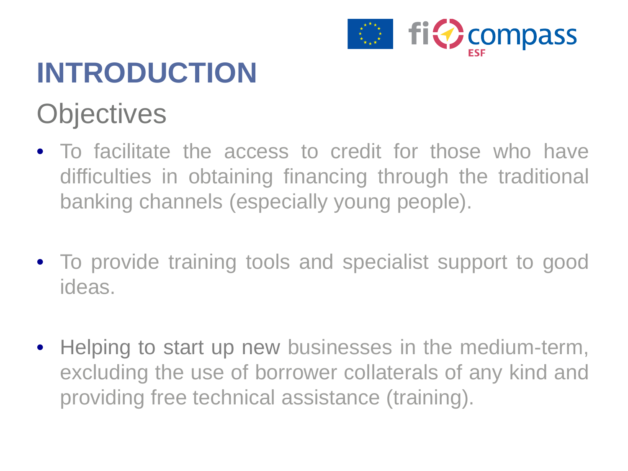

## **INTRODUCTION Objectives**

- To facilitate the access to credit for those who have difficulties in obtaining financing through the traditional banking channels (especially young people).
- To provide training tools and specialist support to good ideas.
- Helping to start up new businesses in the medium-term, excluding the use of borrower collaterals of any kind and providing free technical assistance (training).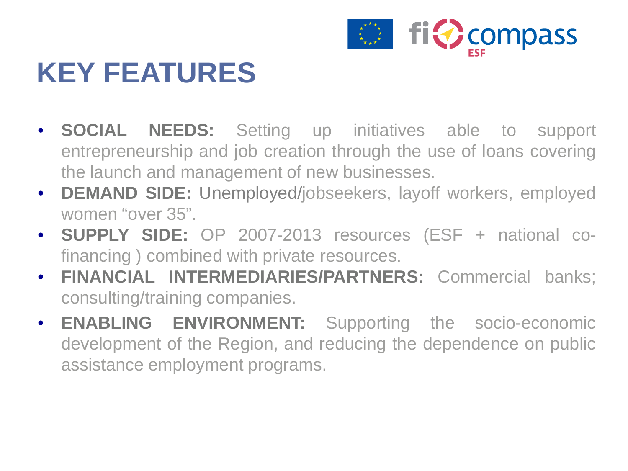

### **KEY FEATURES**

- **SOCIAL NEEDS:** Setting up initiatives able to support entrepreneurship and job creation through the use of loans covering the launch and management of new businesses.
- **DEMAND SIDE:** Unemployed/jobseekers, layoff workers, employed women "over 35".
- **SUPPLY SIDE:** OP 2007-2013 resources (ESF + national cofinancing ) combined with private resources.
- **FINANCIAL INTERMEDIARIES/PARTNERS:** Commercial banks; consulting/training companies.
- **ENABLING ENVIRONMENT:** Supporting the socio-economic development of the Region, and reducing the dependence on public assistance employment programs.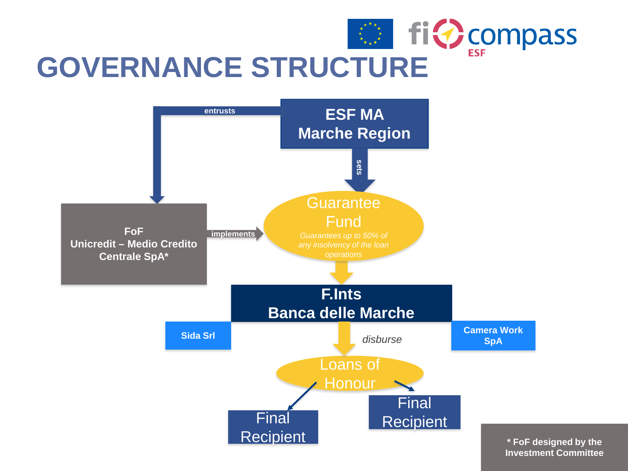



**\* FoF designed by the Investment Committee**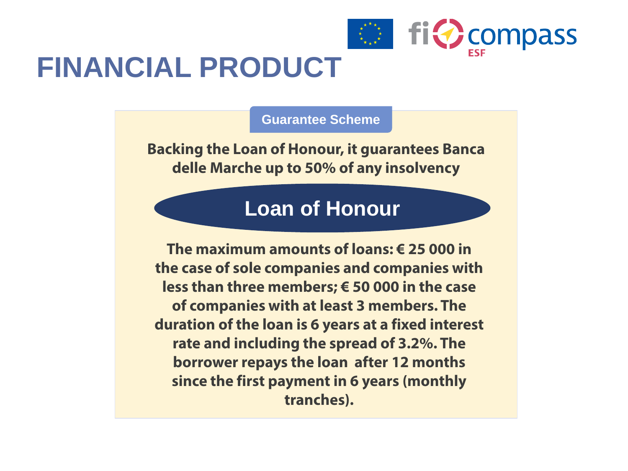

### **FINANCIAL PRODUCT**

**Guarantee Scheme**

**Backing the Loan of Honour, it guarantees Banca delle Marche up to 50% of any insolvency**

#### **Loan of Honour**

**The maximum amounts of loans: € 25 000 in the case of sole companies and companies with less than three members; € 50 000 in the case of companies with at least 3 members. The duration of the loan is 6 years at a fixed interest rate and including the spread of 3.2%. The borrower repays the loan after 12 months since the first payment in 6 years (monthly tranches).**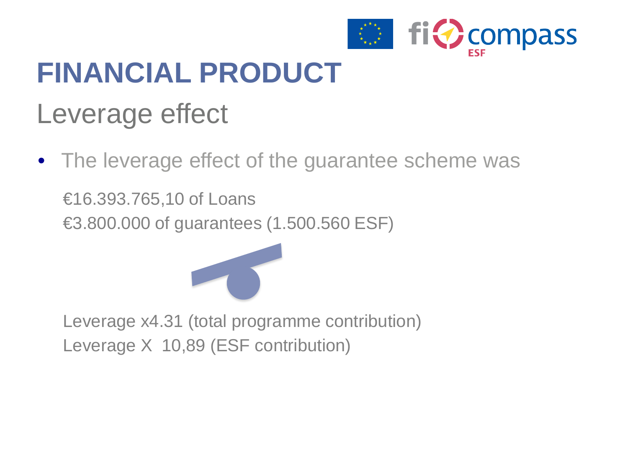

## **FINANCIAL PRODUCT**

### Leverage effect

• The leverage effect of the guarantee scheme was €16.393.765,10 of Loans €3.800.000 of guarantees (1.500.560 ESF)



Leverage x4.31 (total programme contribution) Leverage X 10,89 (ESF contribution)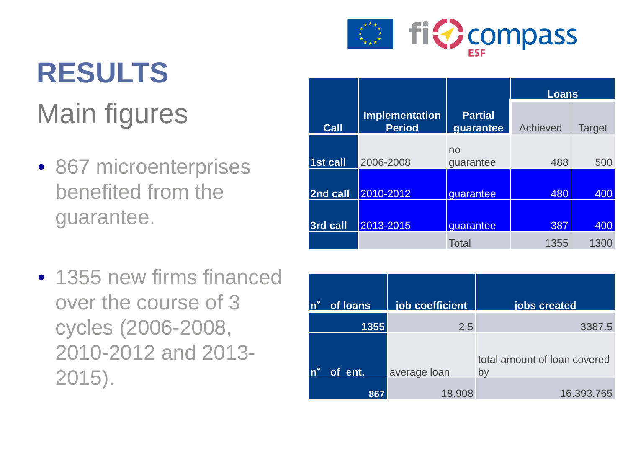

# **RESULTS** Main figures

- 867 microenterprises benefited from the guarantee.
- 1355 new firms financed over the course of 3 cycles (2006-2008, 2010-2012 and 2013- 2015).

|             |                                        |                             | <b>Loans</b> |               |
|-------------|----------------------------------------|-----------------------------|--------------|---------------|
| <b>Call</b> | <b>Implementation</b><br><b>Period</b> | <b>Partial</b><br>guarantee | Achieved     | <b>Target</b> |
| 1st call    | 2006-2008                              | no<br>guarantee             | 488          | 500           |
| 2nd call    | 2010-2012                              | guarantee                   | 480          | 400           |
| 3rd call    | 2013-2015                              | quarantee                   | 387          | 400           |
|             |                                        | <b>Total</b>                | 1355         | 1300          |

| of loans | job coefficient | jobs created                       |
|----------|-----------------|------------------------------------|
| 1355     | 2.5             | 3387.5                             |
| of ent.  | average loan    | total amount of loan covered<br>by |
| 867      | 18.908          | 16.393.765                         |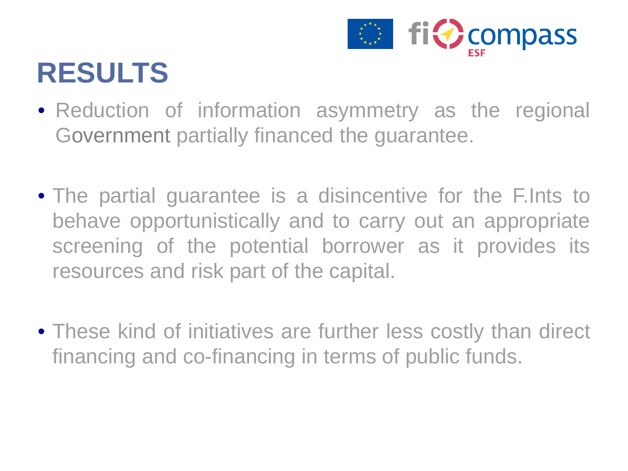

### **RESULTS**

- Reduction of information asymmetry as the regional Government partially financed the guarantee.
- The partial guarantee is a disincentive for the F.Ints to behave opportunistically and to carry out an appropriate screening of the potential borrower as it provides its resources and risk part of the capital.
- These kind of initiatives are further less costly than direct financing and co-financing in terms of public funds.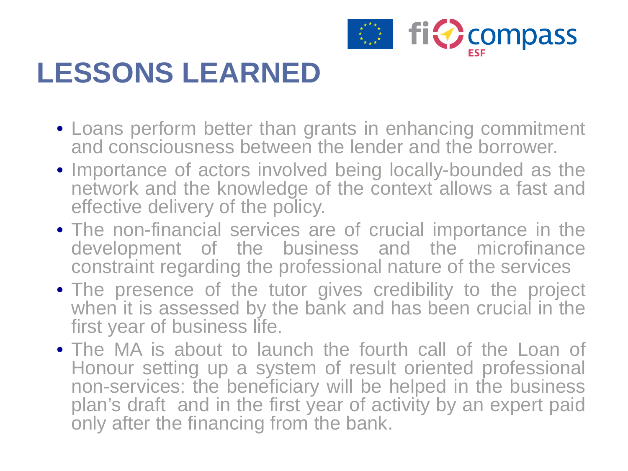

## **LESSONS LEARNED**

- Loans perform better than grants in enhancing commitment and consciousness between the lender and the borrower.
- Importance of actors involved being locally-bounded as the network and the knowledge of the context allows a fast and effective delivery of the policy.
- The non-financial services are of crucial importance in the development of the business and the microfinance constraint regarding the professional nature of the services
- The presence of the tutor gives credibility to the project when it is assessed by the bank and has been crucial in the first year of business life.
- The MA is about to launch the fourth call of the Loan of Honour setting up a system of result oriented professional non-services: the beneficiary will be helped in the business plan's draft and in the first year of activity by an expert paid only after the financing from the bank.